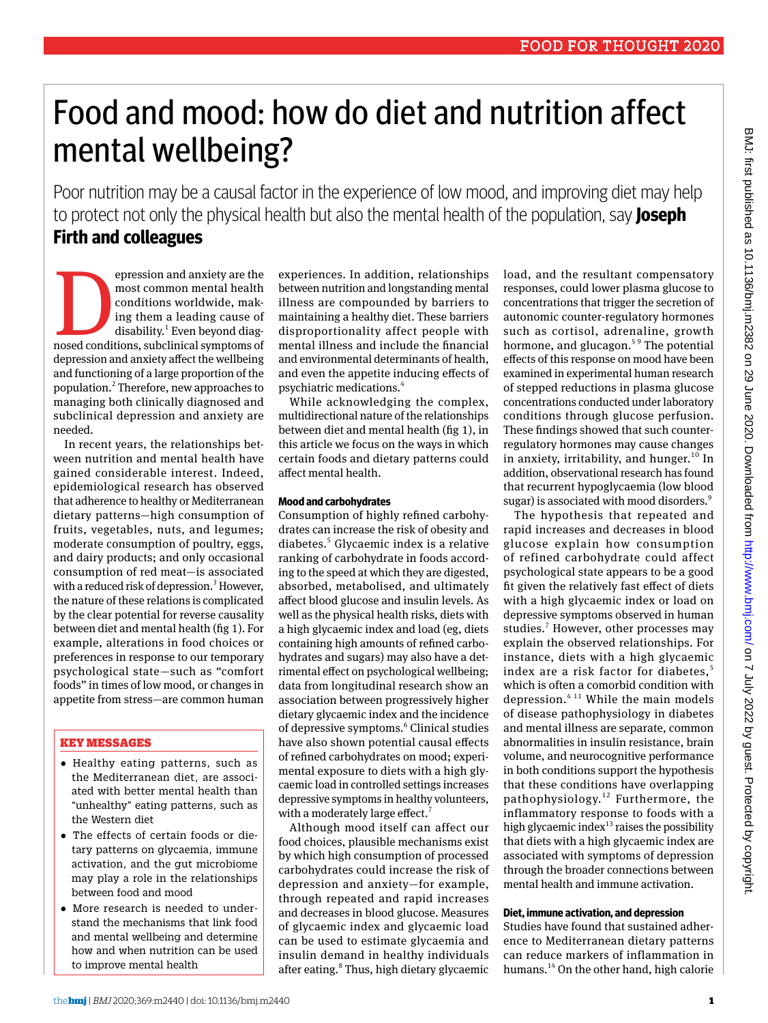# Food and mood: how do diet and nutrition affect mental wellbeing?

Poor nutrition may be a causal factor in the experience of low mood, and improving diet may help to protect not only the physical health but also the mental health of the population, say **Joseph Firth and colleagues**

epression and anxiety are the most common mental health conditions worldwide, making them a leading cause of disability.<sup>1</sup> Even beyond diagnosed conditions, subclinical symptoms of most common mental health conditions worldwide, making them a leading cause of disability.<sup>1</sup> Even beyond diagdepression and anxiety affect the wellbeing and functioning of a large proportion of the population.<sup>2</sup> Therefore, new approaches to managing both clinically diagnosed and subclinical depression and anxiety are needed.

In recent years, the relationships between nutrition and mental health have gained considerable interest. Indeed, epidemiological research has observed that adherence to healthy or Mediterranean dietary patterns—high consumption of fruits, vegetables, nuts, and legumes; moderate consumption of poultry, eggs, and dairy products; and only occasional consumption of red meat—is associated with a reduced risk of depression.<sup>3</sup> However, the nature of these relations is complicated by the clear potential for reverse causality between diet and mental health (fig 1). For example, alterations in food choices or preferences in response to our temporary psychological state—such as "comfort foods" in times of low mood, or changes in appetite from stress—are common human

## Key Messages

- •  Healthy eating patterns, such as the Mediterranean diet, are associated with better mental health than "unhealthy" eating patterns, such as the Western diet
- •  The effects of certain foods or dietary patterns on glycaemia, immune activation, and the gut microbiome may play a role in the relationships between food and mood
- •  More research is needed to understand the mechanisms that link food and mental wellbeing and determine how and when nutrition can be used to improve mental health

experiences. In addition, relationships between nutrition and longstanding mental illness are compounded by barriers to maintaining a healthy diet. These barriers disproportionality affect people with mental illness and include the financial and environmental determinants of health, and even the appetite inducing effects of psychiatric medications.<sup>4</sup>

While acknowledging the complex, multidirectional nature of the relationships between diet and mental health (fig 1), in this article we focus on the ways in which certain foods and dietary patterns could affect mental health.

### **Mood and carbohydrates**

Consumption of highly refined carbohydrates can increase the risk of obesity and diabetes.<sup>5</sup> Glycaemic index is a relative ranking of carbohydrate in foods according to the speed at which they are digested, absorbed, metabolised, and ultimately affect blood glucose and insulin levels. As well as the physical health risks, diets with a high glycaemic index and load (eg, diets containing high amounts of refined carbohydrates and sugars) may also have a detrimental effect on psychological wellbeing; data from longitudinal research show an association between progressively higher dietary glycaemic index and the incidence of depressive symptoms.<sup>6</sup> Clinical studies have also shown potential causal effects of refined carbohydrates on mood; experimental exposure to diets with a high glycaemic load in controlled settings increases depressive symptoms in healthy volunteers, with a moderately large effect.<sup>7</sup>

Although mood itself can affect our food choices, plausible mechanisms exist by which high consumption of processed carbohydrates could increase the risk of depression and anxiety—for example, through repeated and rapid increases and decreases in blood glucose. Measures of glycaemic index and glycaemic load can be used to estimate glycaemia and insulin demand in healthy individuals after eating.<sup>8</sup> Thus, high dietary glycaemic load, and the resultant compensatory responses, could lower plasma glucose to concentrations that trigger the secretion of autonomic counter-regulatory hormones such as cortisol, adrenaline, growth hormone, and glucagon.<sup>59</sup> The potential effects of this response on mood have been examined in experimental human research of stepped reductions in plasma glucose concentrations conducted under laboratory conditions through glucose perfusion. These findings showed that such counterregulatory hormones may cause changes in anxiety, irritability, and hunger.<sup>10</sup> In addition, observational research has found that recurrent hypoglycaemia (low blood sugar) is associated with mood disorders.<sup>9</sup>

The hypothesis that repeated and rapid increases and decreases in blood glucose explain how consumption of refined carbohydrate could affect psychological state appears to be a good fit given the relatively fast effect of diets with a high glycaemic index or load on depressive symptoms observed in human studies.<sup>7</sup> However, other processes may explain the observed relationships. For instance, diets with a high glycaemic index are a risk factor for diabetes.<sup>5</sup> which is often a comorbid condition with depression. $4^{11}$  While the main models of disease pathophysiology in diabetes and mental illness are separate, common abnormalities in insulin resistance, brain volume, and neurocognitive performance in both conditions support the hypothesis that these conditions have overlapping pathophysiology.12 Furthermore, the inflammatory response to foods with a high glycaemic index $13$  raises the possibility that diets with a high glycaemic index are associated with symptoms of depression through the broader connections between mental health and immune activation.

## **Diet, immune activation, and depression**

Studies have found that sustained adherence to Mediterranean dietary patterns can reduce markers of inflammation in humans.<sup>14</sup> On the other hand, high calorie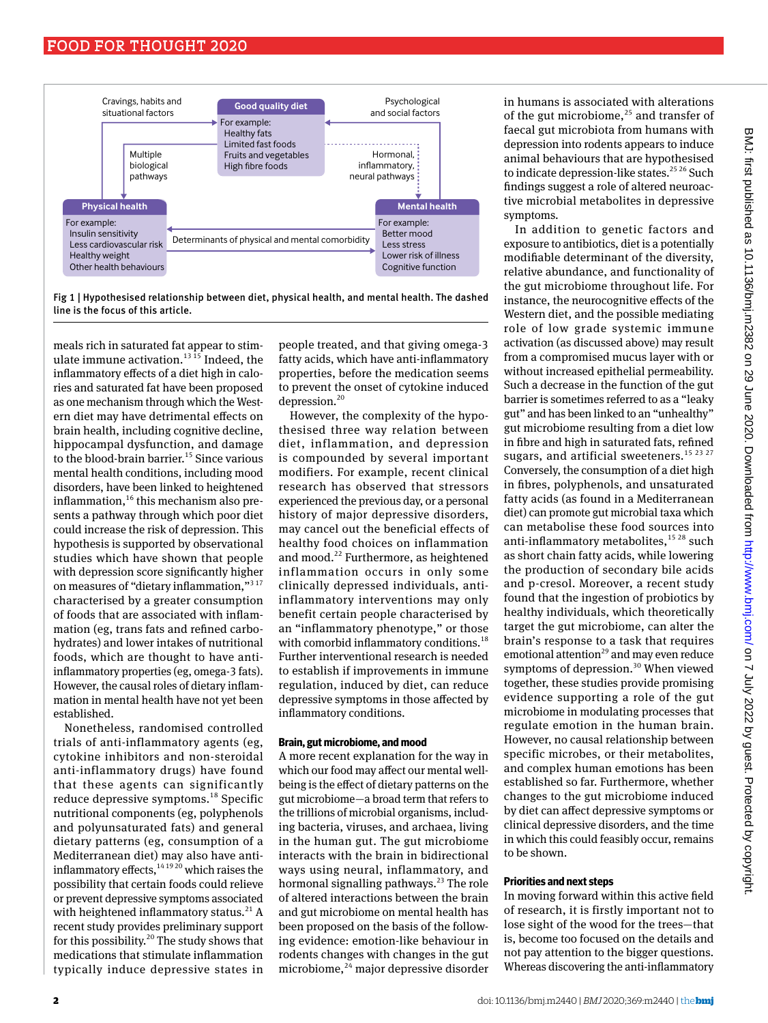



meals rich in saturated fat appear to stimulate immune activation.<sup>13 15</sup> Indeed, the inflammatory effects of a diet high in calories and saturated fat have been proposed as one mechanism through which the Western diet may have detrimental effects on brain health, including cognitive decline, hippocampal dysfunction, and damage to the blood-brain barrier.<sup>15</sup> Since various mental health conditions, including mood disorders, have been linked to heightened inflammation, $16$  this mechanism also presents a pathway through which poor diet could increase the risk of depression. This hypothesis is supported by observational studies which have shown that people with depression score significantly higher on measures of "dietary inflammation,"<sup>317</sup> characterised by a greater consumption of foods that are associated with inflammation (eg, trans fats and refined carbohydrates) and lower intakes of nutritional foods, which are thought to have antiinflammatory properties (eg, omega-3 fats). However, the causal roles of dietary inflammation in mental health have not yet been established.

Nonetheless, randomised controlled trials of anti-inflammatory agents (eg, cytokine inhibitors and non-steroidal anti-inflammatory drugs) have found that these agents can significantly reduce depressive symptoms.<sup>18</sup> Specific nutritional components (eg, polyphenols and polyunsaturated fats) and general dietary patterns (eg, consumption of a Mediterranean diet) may also have antiinflammatory effects,  $141920$  which raises the possibility that certain foods could relieve or prevent depressive symptoms associated with heightened inflammatory status.<sup>21</sup> A recent study provides preliminary support for this possibility.<sup>20</sup> The study shows that medications that stimulate inflammation typically induce depressive states in

people treated, and that giving omega-3 fatty acids, which have anti-inflammatory properties, before the medication seems to prevent the onset of cytokine induced depression.<sup>20</sup>

However, the complexity of the hypothesised three way relation between diet, inflammation, and depression is compounded by several important modifiers. For example, recent clinical research has observed that stressors experienced the previous day, or a personal history of major depressive disorders, may cancel out the beneficial effects of healthy food choices on inflammation and mood.<sup>22</sup> Furthermore, as heightened inflammation occurs in only some clinically depressed individuals, antiinflammatory interventions may only benefit certain people characterised by an "inflammatory phenotype," or those with comorbid inflammatory conditions.<sup>18</sup> Further interventional research is needed to establish if improvements in immune regulation, induced by diet, can reduce depressive symptoms in those affected by inflammatory conditions.

#### **Brain, gut microbiome, and mood**

A more recent explanation for the way in which our food may affect our mental wellbeing is the effect of dietary patterns on the gut microbiome—a broad term that refers to the trillions of microbial organisms, including bacteria, viruses, and archaea, living in the human gut. The gut microbiome interacts with the brain in bidirectional ways using neural, inflammatory, and hormonal signalling pathways.<sup>23</sup> The role of altered interactions between the brain and gut microbiome on mental health has been proposed on the basis of the following evidence: emotion-like behaviour in rodents changes with changes in the gut microbiome,<sup>24</sup> major depressive disorder

in humans is associated with alterations of the gut microbiome, $25$  and transfer of faecal gut microbiota from humans with depression into rodents appears to induce animal behaviours that are hypothesised to indicate depression-like states.<sup>25 26</sup> Such findings suggest a role of altered neuroactive microbial metabolites in depressive symptoms.

In addition to genetic factors and exposure to antibiotics, diet is a potentially modifiable determinant of the diversity, relative abundance, and functionality of the gut microbiome throughout life. For instance, the neurocognitive effects of the Western diet, and the possible mediating role of low grade systemic immune activation (as discussed above) may result from a compromised mucus layer with or without increased epithelial permeability. Such a decrease in the function of the gut barrier is sometimes referred to as a "leaky gut" and has been linked to an "unhealthy" gut microbiome resulting from a diet low in fibre and high in saturated fats, refined sugars, and artificial sweeteners.<sup>15 23 27</sup> Conversely, the consumption of a diet high in fibres, polyphenols, and unsaturated fatty acids (as found in a Mediterranean diet) can promote gut microbial taxa which can metabolise these food sources into anti-inflammatory metabolites,  $15 28$  such as short chain fatty acids, while lowering the production of secondary bile acids and p-cresol. Moreover, a recent study found that the ingestion of probiotics by healthy individuals, which theoretically target the gut microbiome, can alter the brain's response to a task that requires emotional attention $^{29}$  and may even reduce symptoms of depression.<sup>30</sup> When viewed together, these studies provide promising evidence supporting a role of the gut microbiome in modulating processes that regulate emotion in the human brain. However, no causal relationship between specific microbes, or their metabolites, and complex human emotions has been established so far. Furthermore, whether changes to the gut microbiome induced by diet can affect depressive symptoms or clinical depressive disorders, and the time in which this could feasibly occur, remains to be shown.

#### **Priorities and next steps**

In moving forward within this active field of research, it is firstly important not to lose sight of the wood for the trees—that is, become too focused on the details and not pay attention to the bigger questions. Whereas discovering the anti-inflammatory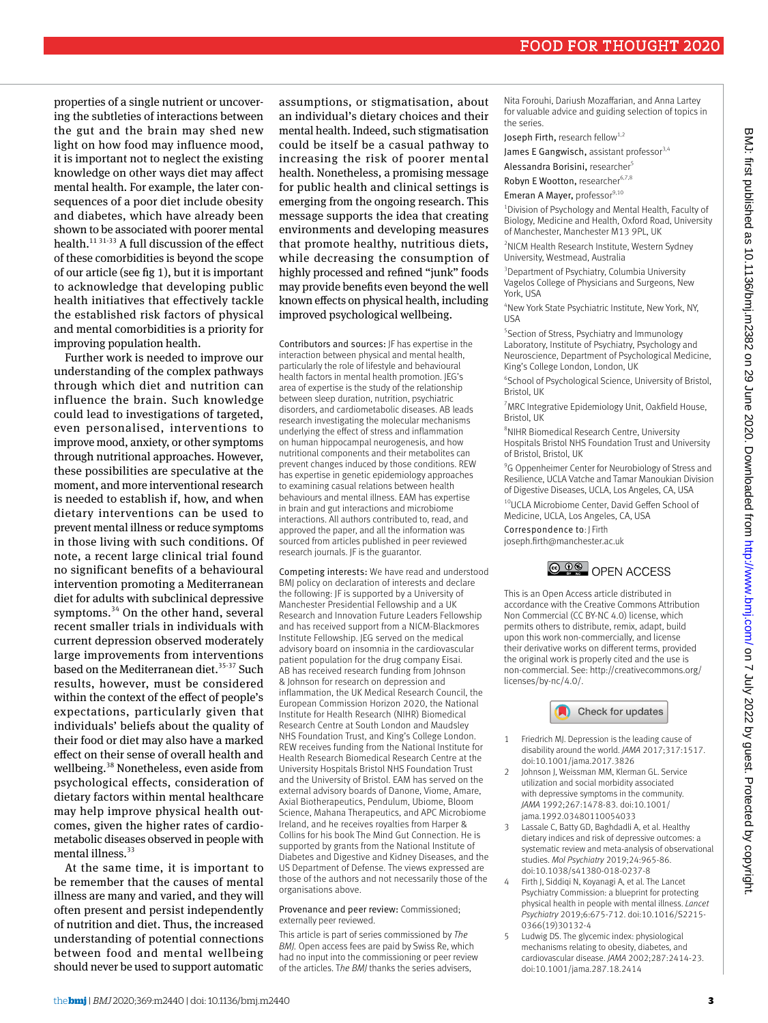properties of a single nutrient or uncovering the subtleties of interactions between the gut and the brain may shed new light on how food may influence mood, it is important not to neglect the existing knowledge on other ways diet may affect mental health. For example, the later consequences of a poor diet include obesity and diabetes, which have already been shown to be associated with poorer mental health.11 31-33 A full discussion of the effect of these comorbidities is beyond the scope of our article (see fig 1), but it is important to acknowledge that developing public health initiatives that effectively tackle the established risk factors of physical and mental comorbidities is a priority for improving population health.

Further work is needed to improve our understanding of the complex pathways through which diet and nutrition can influence the brain. Such knowledge could lead to investigations of targeted, even personalised, interventions to improve mood, anxiety, or other symptoms through nutritional approaches. However, these possibilities are speculative at the moment, and more interventional research is needed to establish if, how, and when dietary interventions can be used to prevent mental illness or reduce symptoms in those living with such conditions. Of note, a recent large clinical trial found no significant benefits of a behavioural intervention promoting a Mediterranean diet for adults with subclinical depressive symptoms.<sup>34</sup> On the other hand, several recent smaller trials in individuals with current depression observed moderately large improvements from interventions based on the Mediterranean diet.<sup>35-37</sup> Such results, however, must be considered within the context of the effect of people's expectations, particularly given that individuals' beliefs about the quality of their food or diet may also have a marked effect on their sense of overall health and wellbeing.<sup>38</sup> Nonetheless, even aside from psychological effects, consideration of dietary factors within mental healthcare may help improve physical health outcomes, given the higher rates of cardiometabolic diseases observed in people with mental illness. $33$ 

At the same time, it is important to be remember that the causes of mental illness are many and varied, and they will often present and persist independently of nutrition and diet. Thus, the increased understanding of potential connections between food and mental wellbeing should never be used to support automatic assumptions, or stigmatisation, about an individual's dietary choices and their mental health. Indeed, such stigmatisation could be itself be a casual pathway to increasing the risk of poorer mental health. Nonetheless, a promising message for public health and clinical settings is emerging from the ongoing research. This message supports the idea that creating environments and developing measures that promote healthy, nutritious diets, while decreasing the consumption of highly processed and refined "junk" foods may provide benefits even beyond the well known effects on physical health, including improved psychological wellbeing.

Contributors and sources: JF has expertise in the interaction between physical and mental health, particularly the role of lifestyle and behavioural health factors in mental health promotion. JEG's area of expertise is the study of the relationship between sleep duration, nutrition, psychiatric disorders, and cardiometabolic diseases. AB leads research investigating the molecular mechanisms underlying the effect of stress and inflammation on human hippocampal neurogenesis, and how nutritional components and their metabolites can prevent changes induced by those conditions. REW has expertise in genetic epidemiology approaches to examining casual relations between health behaviours and mental illness. EAM has expertise in brain and gut interactions and microbiome interactions. All authors contributed to, read, and approved the paper, and all the information was sourced from articles published in peer reviewed research journals. JF is the guarantor.

Competing interests: We have read and understood BMJ policy on declaration of interests and declare the following: JF is supported by a University of Manchester Presidential Fellowship and a UK Research and Innovation Future Leaders Fellowship and has received support from a NICM-Blackmores Institute Fellowship. JEG served on the medical advisory board on insomnia in the cardiovascular patient population for the drug company Eisai. AB has received research funding from Johnson & Johnson for research on depression and inflammation, the UK Medical Research Council, the European Commission Horizon 2020, the National Institute for Health Research (NIHR) Biomedical Research Centre at South London and Maudsley NHS Foundation Trust, and King's College London. REW receives funding from the National Institute for Health Research Biomedical Research Centre at the University Hospitals Bristol NHS Foundation Trust and the University of Bristol. EAM has served on the external advisory boards of Danone, Viome, Amare, Axial Biotherapeutics, Pendulum, Ubiome, Bloom Science, Mahana Therapeutics, and APC Microbiome Ireland, and he receives royalties from Harper & Collins for his book The Mind Gut Connection. He is supported by grants from the National Institute of Diabetes and Digestive and Kidney Diseases, and the US Department of Defense. The views expressed are those of the authors and not necessarily those of the organisations above.

#### Provenance and peer review: Commissioned; externally peer reviewed.

This article is part of series commissioned by *The BMJ.* Open access fees are paid by Swiss Re, which had no input into the commissioning or peer review of the articles. T*he BMJ* thanks the series advisers,

Nita Forouhi, Dariush Mozaffarian, and Anna Lartey for valuable advice and guiding selection of topics in the series.

Joseph Firth, research fellow $1,2$ 

James E Gangwisch, assistant professor<sup>3,4</sup>

Alessandra Borisini, researcher5

Robyn E Wootton, researcher<sup>6,7,8</sup>

Emeran A Mayer, professor<sup>9,10</sup>

1 Division of Psychology and Mental Health, Faculty of Biology, Medicine and Health, Oxford Road, University of Manchester, Manchester M13 9PL, UK

2 NICM Health Research Institute, Western Sydney University, Westmead, Australia

3 Department of Psychiatry, Columbia University Vagelos College of Physicians and Surgeons, New York, USA

4 New York State Psychiatric Institute, New York, NY, USA

5 Section of Stress, Psychiatry and Immunology Laboratory, Institute of Psychiatry, Psychology and Neuroscience, Department of Psychological Medicine, King's College London, London, UK

6 School of Psychological Science, University of Bristol, Bristol, UK

<sup>7</sup> MRC Integrative Epidemiology Unit, Oakfield House, Bristol, UK

8 NIHR Biomedical Research Centre, University Hospitals Bristol NHS Foundation Trust and University of Bristol, Bristol, UK

<sup>9</sup>G Oppenheimer Center for Neurobiology of Stress and Resilience, UCLA Vatche and Tamar Manoukian Division of Digestive Diseases, UCLA, Los Angeles, CA, USA

10UCLA Microbiome Center, David Geffen School of Medicine, UCLA, Los Angeles, CA, USA

Correspondence to: J Firth

[joseph.firth@manchester.ac.uk](mailto:joseph.firth@manchester.ac.uk)



This is an Open Access article distributed in accordance with the Creative Commons Attribution Non Commercial (CC BY-NC 4.0) license, which permits others to distribute, remix, adapt, build upon this work non-commercially, and license their derivative works on different terms, provided the original work is properly cited and the use is non-commercial. See: [http://creativecommons.org/](http://creativecommons.org/licenses/by-nc/4.0/) [licenses/by-nc/4.0/](http://creativecommons.org/licenses/by-nc/4.0/).



- 1 Friedrich MJ. Depression is the leading cause of disability around the world. *JAMA* 2017;317:1517. doi:10.1001/jama.2017.3826
- 2 Johnson J, Weissman MM, Klerman GL. Service utilization and social morbidity associated with depressive symptoms in the community. *JAMA* 1992;267:1478-83. doi:10.1001/ jama.1992.03480110054033
- 3 Lassale C, Batty GD, Baghdadli A, et al. Healthy dietary indices and risk of depressive outcomes: a systematic review and meta-analysis of observational studies. *Mol Psychiatry* 2019;24:965-86. doi:10.1038/s41380-018-0237-8
- 4 Firth J, Siddiqi N, Koyanagi A, et al. The Lancet Psychiatry Commission: a blueprint for protecting physical health in people with mental illness. *Lancet Psychiatry* 2019;6:675-712. doi:10.1016/S2215- 0366(19)30132-4
- 5 Ludwig DS. The glycemic index: physiological mechanisms relating to obesity, diabetes, and cardiovascular disease. *JAMA* 2002;287:2414-23. doi:10.1001/jama.287.18.2414